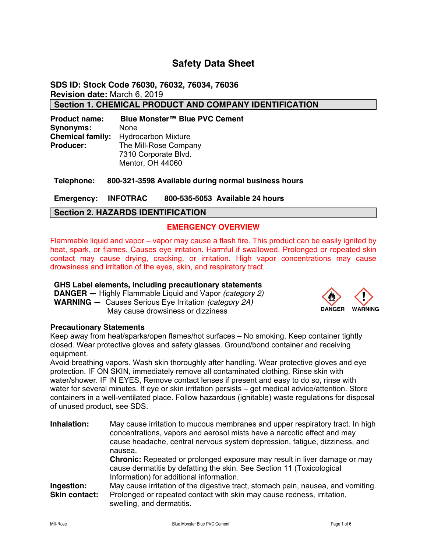## **Safety Data Sheet**

**SDS ID: Stock Code 76030, 76032, 76034, 76036 Revision date:** March 6, 2019

**Section 1. CHEMICAL PRODUCT AND COMPANY IDENTIFICATION** 

**Product name: Blue Monster™ Blue PVC Cement Synonyms:** None **Chemical family:** Hydrocarbon Mixture **Producer:** The Mill-Rose Company 7310 Corporate Blvd. Mentor, OH 44060

**Telephone: 800-321-3598 Available during normal business hours** 

**Emergency: INFOTRAC 800-535-5053 Available 24 hours** 

## **Section 2. HAZARDS IDENTIFICATION**

### **EMERGENCY OVERVIEW**

Flammable liquid and vapor – vapor may cause a flash fire. This product can be easily ignited by heat, spark, or flames. Causes eye irritation. Harmful if swallowed. Prolonged or repeated skin contact may cause drying, cracking, or irritation. High vapor concentrations may cause drowsiness and irritation of the eyes, skin, and respiratory tract.

#### **GHS Label elements, including precautionary statements**

**DANGER —** Highly Flammable Liquid and Vapor *(category 2)* **WARNING —** Causes Serious Eye Irritation *(category 2A)* May cause drowsiness or dizziness **DANGER** WARNING



#### **Precautionary Statements**

Keep away from heat/sparks/open flames/hot surfaces – No smoking. Keep container tightly closed. Wear protective gloves and safety glasses. Ground/bond container and receiving equipment.

Avoid breathing vapors. Wash skin thoroughly after handling. Wear protective gloves and eye protection. IF ON SKIN, immediately remove all contaminated clothing. Rinse skin with water/shower. IF IN EYES, Remove contact lenses if present and easy to do so, rinse with water for several minutes. If eye or skin irritation persists – get medical advice/attention. Store containers in a well-ventilated place. Follow hazardous (ignitable) waste regulations for disposal of unused product, see SDS.

| Inhalation:          | May cause irritation to mucous membranes and upper respiratory tract. In high<br>concentrations, vapors and aerosol mists have a narcotic effect and may<br>cause headache, central nervous system depression, fatigue, dizziness, and<br>nausea. |
|----------------------|---------------------------------------------------------------------------------------------------------------------------------------------------------------------------------------------------------------------------------------------------|
|                      | <b>Chronic:</b> Repeated or prolonged exposure may result in liver damage or may<br>cause dermatitis by defatting the skin. See Section 11 (Toxicological<br>Information) for additional information.                                             |
| Ingestion:           | May cause irritation of the digestive tract, stomach pain, nausea, and vomiting.                                                                                                                                                                  |
| <b>Skin contact:</b> | Prolonged or repeated contact with skin may cause redness, irritation,<br>swelling, and dermatitis.                                                                                                                                               |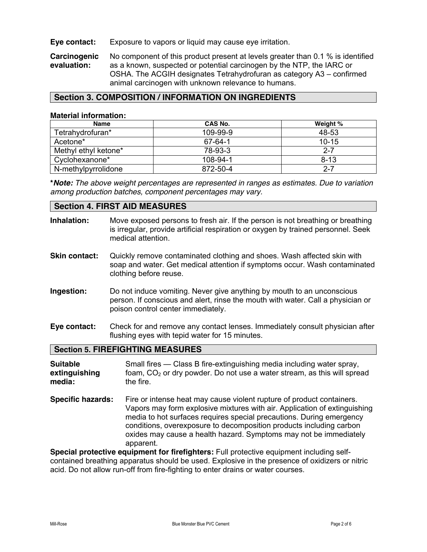#### **Eye contact:** Exposure to vapors or liquid may cause eye irritation.

**Carcinogenic** No component of this product present at levels greater than 0.1 % is identified evaluation: as a known, suspected or potential carcinogen by the NTP, the IARC or as a known, suspected or potential carcinogen by the NTP, the IARC or OSHA. The ACGIH designates Tetrahydrofuran as category A3 – confirmed animal carcinogen with unknown relevance to humans.

## **Section 3. COMPOSITION / INFORMATION ON INGREDIENTS**

#### **Material information:**

| <b>Name</b>          | CAS No.  | Weight %  |
|----------------------|----------|-----------|
| Tetrahydrofuran*     | 109-99-9 | 48-53     |
| Acetone*             | 67-64-1  | $10 - 15$ |
| Methyl ethyl ketone* | 78-93-3  | $2 - 7$   |
| Cyclohexanone*       | 108-94-1 | $8 - 13$  |
| N-methylpyrrolidone  | 872-50-4 | $2 - 7$   |

**\****Note: The above weight percentages are represented in ranges as estimates. Due to variation among production batches, component percentages may vary.*

#### **Section 4. FIRST AID MEASURES**

| Inhalation:                                | Move exposed persons to fresh air. If the person is not breathing or breathing<br>is irregular, provide artificial respiration or oxygen by trained personnel. Seek<br>medical attention.                                                                                                                                                                              |
|--------------------------------------------|------------------------------------------------------------------------------------------------------------------------------------------------------------------------------------------------------------------------------------------------------------------------------------------------------------------------------------------------------------------------|
| <b>Skin contact:</b>                       | Quickly remove contaminated clothing and shoes. Wash affected skin with<br>soap and water. Get medical attention if symptoms occur. Wash contaminated<br>clothing before reuse.                                                                                                                                                                                        |
| Ingestion:                                 | Do not induce vomiting. Never give anything by mouth to an unconscious<br>person. If conscious and alert, rinse the mouth with water. Call a physician or<br>poison control center immediately.                                                                                                                                                                        |
| Eye contact:                               | Check for and remove any contact lenses. Immediately consult physician after<br>flushing eyes with tepid water for 15 minutes.                                                                                                                                                                                                                                         |
|                                            | <b>Section 5. FIREFIGHTING MEASURES</b>                                                                                                                                                                                                                                                                                                                                |
| <b>Suitable</b><br>extinguishing<br>media: | Small fires - Class B fire-extinguishing media including water spray,<br>foam, CO <sub>2</sub> or dry powder. Do not use a water stream, as this will spread<br>the fire.                                                                                                                                                                                              |
| <b>Specific hazards:</b>                   | Fire or intense heat may cause violent rupture of product containers.<br>Vapors may form explosive mixtures with air. Application of extinguishing<br>media to hot surfaces requires special precautions. During emergency<br>conditions, overexposure to decomposition products including carbon<br>oxides may cause a health hazard. Symptoms may not be immediately |

apparent.

**Special protective equipment for firefighters:** Full protective equipment including selfcontained breathing apparatus should be used. Explosive in the presence of oxidizers or nitric acid. Do not allow run-off from fire-fighting to enter drains or water courses.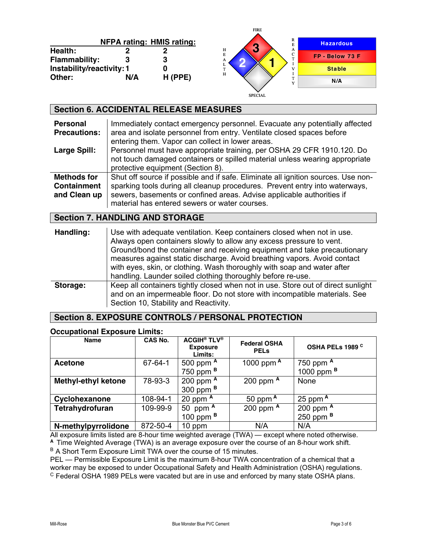|                                 |     |                                  | .                                               |                  |
|---------------------------------|-----|----------------------------------|-------------------------------------------------|------------------|
|                                 |     | <b>NFPA rating: HMIS rating:</b> | R<br>$\bullet$                                  | <b>Hazardous</b> |
| <b>Health:</b><br>Flammability: |     | 3                                | $_{\rm E}^{\rm H}$<br>A<br>w<br>$\sqrt{2}$<br>А | FP - Below 73 F  |
| Instability/reactivity: 1       |     |                                  | T.<br>$\mathbf H$                               | <b>Stable</b>    |
| Other:                          | N/A | $H$ (PPE)                        |                                                 | N/A              |
|                                 |     |                                  | <b>SPECIAL</b>                                  |                  |

FIRE

|                                                   | <b>Section 6. ACCIDENTAL RELEASE MEASURES</b>                                                                                                                                                                                                                                                                                                                                                                                                   |
|---------------------------------------------------|-------------------------------------------------------------------------------------------------------------------------------------------------------------------------------------------------------------------------------------------------------------------------------------------------------------------------------------------------------------------------------------------------------------------------------------------------|
| <b>Personal</b><br><b>Precautions:</b>            | Immediately contact emergency personnel. Evacuate any potentially affected<br>area and isolate personnel from entry. Ventilate closed spaces before<br>entering them. Vapor can collect in lower areas.                                                                                                                                                                                                                                         |
| <b>Large Spill:</b>                               | Personnel must have appropriate training, per OSHA 29 CFR 1910.120. Do<br>not touch damaged containers or spilled material unless wearing appropriate<br>protective equipment (Section 8).                                                                                                                                                                                                                                                      |
| Methods for<br><b>Containment</b><br>and Clean up | Shut off source if possible and if safe. Eliminate all ignition sources. Use non-<br>sparking tools during all cleanup procedures. Prevent entry into waterways,<br>sewers, basements or confined areas. Advise applicable authorities if<br>material has entered sewers or water courses.                                                                                                                                                      |
|                                                   |                                                                                                                                                                                                                                                                                                                                                                                                                                                 |
|                                                   | <b>Section 7. HANDLING AND STORAGE</b>                                                                                                                                                                                                                                                                                                                                                                                                          |
| Handling:                                         | Use with adequate ventilation. Keep containers closed when not in use.<br>Always open containers slowly to allow any excess pressure to vent.<br>Ground/bond the container and receiving equipment and take precautionary<br>measures against static discharge. Avoid breathing vapors. Avoid contact<br>with eyes, skin, or clothing. Wash thoroughly with soap and water after<br>handling. Launder soiled clothing thoroughly before re-use. |

## **Section 8. EXPOSURE CONTROLS / PERSONAL PROTECTION**

#### **Occupational Exposure Limits:**

| <b>Name</b>                | <b>CAS No.</b> | <b>ACGIH<sup>®</sup> TLV<sup>®</sup></b><br><b>Exposure</b><br>Limits: | <b>Federal OSHA</b><br><b>PELS</b> | OSHA PELs 1989 C      |
|----------------------------|----------------|------------------------------------------------------------------------|------------------------------------|-----------------------|
| <b>Acetone</b>             | $67 - 64 - 1$  | 500 ppm $A$                                                            | 1000 ppm A                         | 750 ppm $A$           |
|                            |                | 750 ppm $B$                                                            |                                    | 1000 ppm <sup>B</sup> |
| <b>Methyl-ethyl ketone</b> | 78-93-3        | 200 ppm $A$                                                            | 200 ppm $A$                        | None                  |
|                            |                | 300 ppm <sup>B</sup>                                                   |                                    |                       |
| Cyclohexanone              | 108-94-1       | 20 ppm $A$                                                             | 50 ppm $A$                         | 25 ppm $A$            |
| Tetrahydrofuran            | 109-99-9       | 50 ppm $A$                                                             | 200 ppm $A$                        | 200 ppm $A$           |
|                            |                | 100 ppm $B$                                                            |                                    | 250 ppm $B$           |
| N-methylpyrrolidone        | 872-50-4       | 10 ppm                                                                 | N/A                                | N/A                   |

All exposure limits listed are 8-hour time weighted average (TWA) — except where noted otherwise. **<sup>A</sup>**Time Weighted Average (TWA) is an average exposure over the course of an 8-hour work shift. B A Short Term Exposure Limit TWA over the course of 15 minutes.

PEL — Permissible Exposure Limit is the maximum 8-hour TWA concentration of a chemical that a worker may be exposed to under Occupational Safety and Health Administration (OSHA) regulations. <sup>C</sup> Federal OSHA 1989 PELs were vacated but are in use and enforced by many state OSHA plans.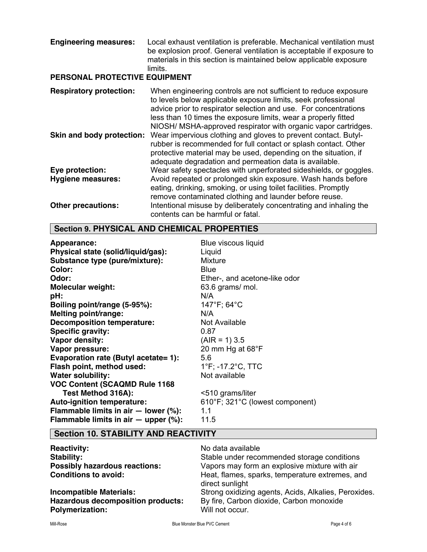| <b>Engineering measures:</b><br>PERSONAL PROTECTIVE EQUIPMENT | Local exhaust ventilation is preferable. Mechanical ventilation must<br>be explosion proof. General ventilation is acceptable if exposure to<br>materials in this section is maintained below applicable exposure<br>limits.                                                                                                             |
|---------------------------------------------------------------|------------------------------------------------------------------------------------------------------------------------------------------------------------------------------------------------------------------------------------------------------------------------------------------------------------------------------------------|
| <b>Respiratory protection:</b>                                | When engineering controls are not sufficient to reduce exposure<br>to levels below applicable exposure limits, seek professional<br>advice prior to respirator selection and use. For concentrations<br>less than 10 times the exposure limits, wear a properly fitted<br>NIOSH/ MSHA-approved respirator with organic vapor cartridges. |
| Skin and body protection:                                     | Wear impervious clothing and gloves to prevent contact. Butyl-<br>rubber is recommended for full contact or splash contact. Other<br>protective material may be used, depending on the situation, if<br>adequate degradation and permeation data is available.                                                                           |
| Eye protection:                                               | Wear safety spectacles with unperforated sideshields, or goggles.                                                                                                                                                                                                                                                                        |
| <b>Hygiene measures:</b>                                      | Avoid repeated or prolonged skin exposure. Wash hands before<br>eating, drinking, smoking, or using toilet facilities. Promptly<br>remove contaminated clothing and launder before reuse.                                                                                                                                                |
| <b>Other precautions:</b>                                     | Intentional misuse by deliberately concentrating and inhaling the<br>contents can be harmful or fatal.                                                                                                                                                                                                                                   |

# **Section 9. PHYSICAL AND CHEMICAL PROPERTIES**

| Appearance:                                | Blue viscous liquid             |
|--------------------------------------------|---------------------------------|
| Physical state (solid/liquid/gas):         | Liquid                          |
| Substance type (pure/mixture):             | <b>Mixture</b>                  |
| Color:                                     | Blue                            |
| Odor:                                      | Ether-, and acetone-like odor   |
| <b>Molecular weight:</b>                   | 63.6 grams/ mol.                |
| pH:                                        | N/A                             |
| Boiling point/range (5-95%):               | $147^{\circ}F$ ; 64 $^{\circ}C$ |
| Melting point/range:                       | N/A                             |
| <b>Decomposition temperature:</b>          | Not Available                   |
| <b>Specific gravity:</b>                   | 0.87                            |
| Vapor density:                             | $(AIR = 1) 3.5$                 |
| Vapor pressure:                            | 20 mm Hg at $68^{\circ}$ F      |
| Evaporation rate (Butyl acetate= 1):       | 5.6                             |
| Flash point, method used:                  | 1°F; -17.2°C, TTC               |
| <b>Water solubility:</b>                   | Not available                   |
| <b>VOC Content (SCAQMD Rule 1168</b>       |                                 |
| Test Method 316A):                         | <510 grams/liter                |
| Auto-ignition temperature:                 | 610°F; 321°C (lowest component) |
| Flammable limits in air $-$ lower (%):     | 1.1                             |
| Flammable limits in air $-$ upper $(\%)$ : | 11.5                            |

## **Section 10. STABILITY AND REACTIVITY**

| <b>Reactivity:</b>                                                 | No data available                                                  |
|--------------------------------------------------------------------|--------------------------------------------------------------------|
| Stability:                                                         | Stable under recommended storage conditions                        |
| <b>Possibly hazardous reactions:</b>                               | Vapors may form an explosive mixture with air                      |
| <b>Conditions to avoid:</b>                                        | Heat, flames, sparks, temperature extremes, and<br>direct sunlight |
| <b>Incompatible Materials:</b>                                     | Strong oxidizing agents, Acids, Alkalies, Peroxides.               |
| <b>Hazardous decomposition products:</b><br><b>Polymerization:</b> | By fire, Carbon dioxide, Carbon monoxide<br>Will not occur.        |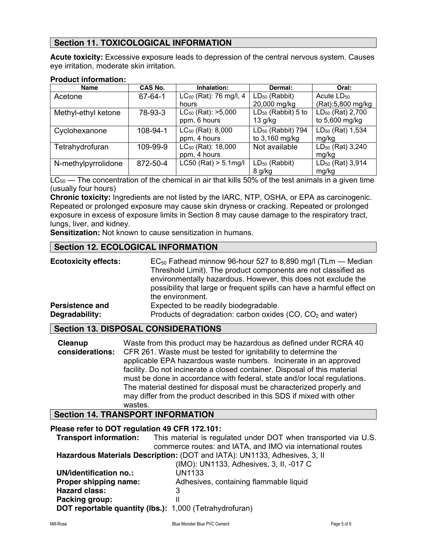## **Section 11. TOXICOLOGICAL INFORMATION**

**Acute toxicity:** Excessive exposure leads to depression of the central nervous system. Causes eye irritation, moderate skin irritation.

#### **Product information:**

| <b>Name</b>         | CAS No.  | Inhalation:                    | Dermal:                       | Oral:                        |
|---------------------|----------|--------------------------------|-------------------------------|------------------------------|
| Acetone             | 67-64-1  | $LC_{50}$ (Rat): 76 mg/l, 4    | $LD_{50}$ (Rabbit)            | Acute $LD_{50}$              |
|                     |          | hours                          | 20,000 mg/kg                  | (Rat):5,800 mg/kg            |
| Methyl-ethyl ketone | 78-93-3  | $LC_{50}$ (Rat): $>5,000$      | $LD_{50}$ (Rabbit) 5 to       | LD <sub>50</sub> (Rat) 2,700 |
|                     |          | ppm, 6 hours                   | $13$ g/kg                     | to 5,600 mg/kg               |
| Cyclohexanone       | 108-94-1 | LC <sub>50</sub> (Rat): 8,000  | LD <sub>50</sub> (Rabbit) 794 | LD <sub>50</sub> (Rat) 1,534 |
|                     |          | ppm, 4 hours                   | to 3,160 mg/kg                | mg/kg                        |
| Tetrahydrofuran     | 109-99-9 | LC <sub>50</sub> (Rat): 18,000 | Not available                 | LD <sub>50</sub> (Rat) 3,240 |
|                     |          | ppm, 4 hours                   |                               | mg/kg                        |
| N-methylpyrrolidone | 872-50-4 | $LC50$ (Rat) > 5.1mg/l         | LD <sub>50</sub> (Rabbit)     | LD <sub>50</sub> (Rat) 3,914 |
|                     |          |                                | 8 g/kg                        | mg/kg                        |

 $LC_{50}$  — The concentration of the chemical in air that kills 50% of the test animals in a given time (usually four hours)

**Chronic toxicity:** Ingredients are not listed by the IARC, NTP, OSHA, or EPA as carcinogenic. Repeated or prolonged exposure may cause skin dryness or cracking. Repeated or prolonged exposure in excess of exposure limits in Section 8 may cause damage to the respiratory tract, lungs, liver, and kidney.

**Sensitization:** Not known to cause sensitization in humans.

## **Section 12. ECOLOGICAL INFORMATION**

| <b>Ecotoxicity effects:</b> | $EC_{50}$ Fathead minnow 96-hour 527 to 8,890 mg/l (TLm – Median<br>Threshold Limit). The product components are not classified as<br>environmentally hazardous. However, this does not exclude the<br>possibility that large or frequent spills can have a harmful effect on<br>the environment. |
|-----------------------------|---------------------------------------------------------------------------------------------------------------------------------------------------------------------------------------------------------------------------------------------------------------------------------------------------|
| <b>Persistence and</b>      | Expected to be readily biodegradable.                                                                                                                                                                                                                                                             |
| Degradability:              | Products of degradation: carbon oxides (CO, CO <sub>2</sub> and water)                                                                                                                                                                                                                            |

#### **Section 13. DISPOSAL CONSIDERATIONS**

| Cleanup | Waste from this product may be hazardous as defined under RCRA 40                      |
|---------|----------------------------------------------------------------------------------------|
|         | <b>considerations:</b> CFR 261. Waste must be tested for ignitability to determine the |
|         | applicable EPA hazardous waste numbers. Incinerate in an approved                      |
|         | facility. Do not incinerate a closed container. Disposal of this material              |
|         | must be done in accordance with federal, state and/or local regulations.               |
|         | The material destined for disposal must be characterized properly and                  |
|         | may differ from the product described in this SDS if mixed with other                  |
|         | wastes.                                                                                |

## **Section 14. TRANSPORT INFORMATION**

#### **Please refer to DOT regulation 49 CFR 172.101:**

 **Transport information:** This material is regulated under DOT when transported via U.S. commerce routes: and IATA, and IMO via international routes **Hazardous Materials Description:** (DOT and IATA): UN1133, Adhesives, 3, II

|                                                                | (IMO): UN1133, Adhesives, 3, II, -017 C |
|----------------------------------------------------------------|-----------------------------------------|
| UN/identification no.:                                         | <b>UN1133</b>                           |
| Proper shipping name:                                          | Adhesives, containing flammable liquid  |
| <b>Hazard class:</b>                                           |                                         |
| Packing group:                                                 |                                         |
| <b>DOT reportable quantity (lbs.):</b> 1,000 (Tetrahydrofuran) |                                         |